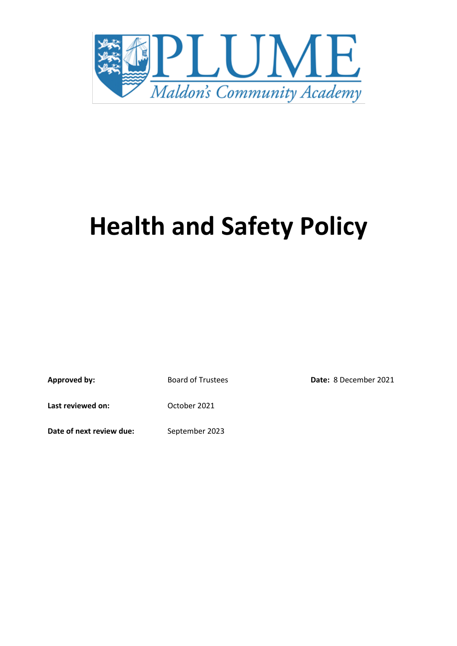

# **Health and Safety Policy**

Approved by: Board of Trustees **Date:** 8 December 2021

Last reviewed on: Cotober 2021

**Date of next review due:** September 2023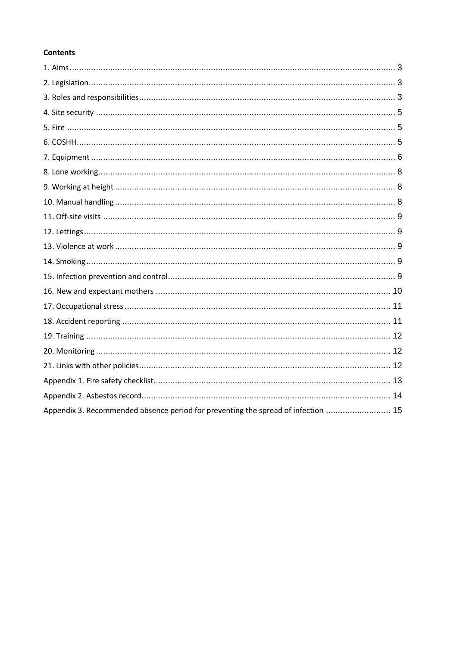# **Contents**

| Appendix 3. Recommended absence period for preventing the spread of infection  15 |  |
|-----------------------------------------------------------------------------------|--|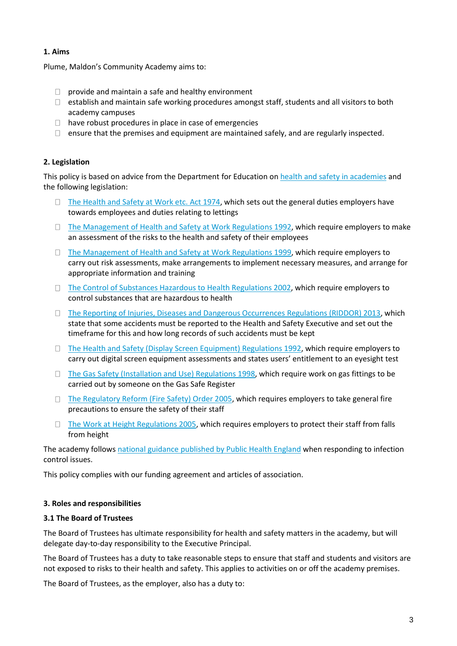## **1. Aims**

Plume, Maldon's Community Academy aims to:

- $\Box$  provide and maintain a safe and healthy environment
- $\Box$  establish and maintain safe working procedures amongst staff, students and all visitors to both academy campuses
- $\Box$  have robust procedures in place in case of emergencies
- $\Box$  ensure that the premises and equipment are maintained safely, and are regularly inspected.

## **2. Legislation**

This policy is based on advice from the Department for Education on [health and safety in academies](https://www.gov.uk/government/publications/health-and-safety-advice-for-schools) and the following legislation:

- $\Box$  The Health and Safety [at Work etc. Act 1974,](http://www.legislation.gov.uk/ukpga/1974/37) which sets out the general duties employers have towards employees and duties relating to lettings
- $\Box$  [The Management of Health and Safety at Work Regulations 1992,](http://www.legislation.gov.uk/uksi/1992/2051/regulation/3/made) which require employers to make an assessment of the risks to the health and safety of their employees
- □ [The Management of Health and Safety at Work Regulations 1999,](http://www.legislation.gov.uk/uksi/1999/3242/contents/made) which require employers to carry out risk assessments, make arrangements to implement necessary measures, and arrange for appropriate information and training
- □ [The Control of Substances Hazardous to Health Regulations 2002,](http://www.legislation.gov.uk/uksi/2002/2677/contents/made) which require employers to control substances that are hazardous to health
- □ [The Reporting of Injuries, Diseases and Dangerous Occurrences](http://www.legislation.gov.uk/uksi/2013/1471/schedule/1/paragraph/1/made) Regulations (RIDDOR) 2013, which state that some accidents must be reported to the Health and Safety Executive and set out the timeframe for this and how long records of such accidents must be kept
- $\Box$  [The Health and Safety \(Display Screen Equipment\) Regulations 1992,](http://www.legislation.gov.uk/uksi/1992/2792/contents/made) which require employers to carry out digital screen equipment assessments and states users' entitlement to an eyesight test
- $\Box$  [The Gas Safety \(Installation and Use\) Regulations 1998,](http://www.legislation.gov.uk/uksi/1998/2451/regulation/4/made) which require work on gas fittings to be carried out by someone on the Gas Safe Register
- $\Box$  [The Regulatory Reform \(Fire Safety\) Order 2005,](http://www.legislation.gov.uk/uksi/2005/1541/part/2/made) which requires employers to take general fire precautions to ensure the safety of their staff
- $\Box$  [The Work at Height Regulations 2005,](http://www.legislation.gov.uk/uksi/2005/735/contents/made) which requires employers to protect their staff from falls from height

The academy follows [national guidance published by Public Health England](https://www.gov.uk/government/uploads/system/uploads/attachment_data/file/522337/Guidance_on_infection_control_in_schools.pdf) when responding to infection control issues.

This policy complies with our funding agreement and articles of association.

#### **3. Roles and responsibilities**

#### **3.1 The Board of Trustees**

The Board of Trustees has ultimate responsibility for health and safety matters in the academy, but will delegate day-to-day responsibility to the Executive Principal.

The Board of Trustees has a duty to take reasonable steps to ensure that staff and students and visitors are not exposed to risks to their health and safety. This applies to activities on or off the academy premises.

The Board of Trustees, as the employer, also has a duty to: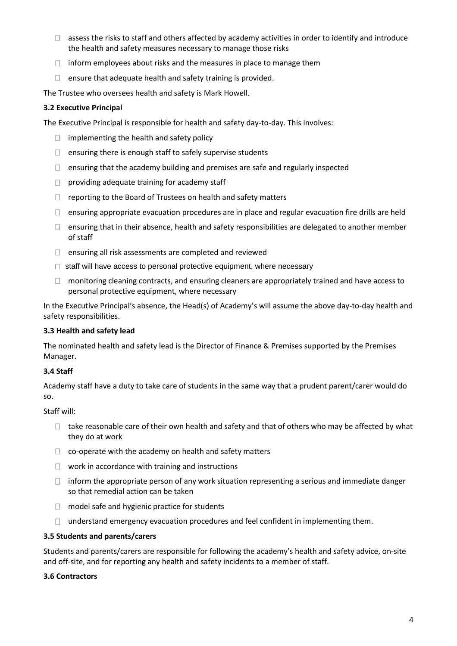- $\Box$  assess the risks to staff and others affected by academy activities in order to identify and introduce the health and safety measures necessary to manage those risks
- $\Box$  inform employees about risks and the measures in place to manage them
- $\Box$  ensure that adequate health and safety training is provided.

The Trustee who oversees health and safety is Mark Howell.

#### **3.2 Executive Principal**

The Executive Principal is responsible for health and safety day-to-day. This involves:

- $\Box$  implementing the health and safety policy
- $\Box$  ensuring there is enough staff to safely supervise students
- $\Box$  ensuring that the academy building and premises are safe and regularly inspected
- $\Box$  providing adequate training for academy staff
- $\Box$  reporting to the Board of Trustees on health and safety matters
- $\Box$  ensuring appropriate evacuation procedures are in place and regular evacuation fire drills are held
- $\Box$  ensuring that in their absence, health and safety responsibilities are delegated to another member of staff
- ensuring all risk assessments are completed and reviewed
- $\Box$  staff will have access to personal protective equipment, where necessary
- $\Box$  monitoring cleaning contracts, and ensuring cleaners are appropriately trained and have access to personal protective equipment, where necessary

In the Executive Principal's absence, the Head(s) of Academy's will assume the above day-to-day health and safety responsibilities.

#### **3.3 Health and safety lead**

The nominated health and safety lead is the Director of Finance & Premises supported by the Premises Manager.

## **3.4 Staff**

Academy staff have a duty to take care of students in the same way that a prudent parent/carer would do so.

#### Staff will:

- $\Box$  take reasonable care of their own health and safety and that of others who may be affected by what they do at work
- $\Box$  co-operate with the academy on health and safety matters
- $\Box$  work in accordance with training and instructions
- $\Box$  inform the appropriate person of any work situation representing a serious and immediate danger so that remedial action can be taken
- $\Box$  model safe and hygienic practice for students
- $\Box$  understand emergency evacuation procedures and feel confident in implementing them.

#### **3.5 Students and parents/carers**

Students and parents/carers are responsible for following the academy's health and safety advice, on-site and off-site, and for reporting any health and safety incidents to a member of staff.

#### **3.6 Contractors**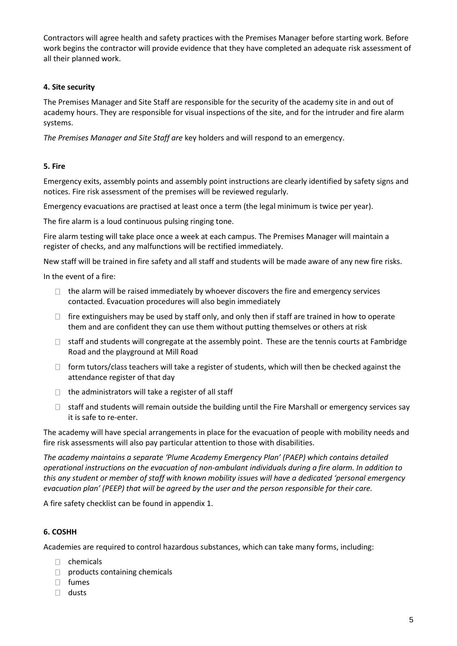Contractors will agree health and safety practices with the Premises Manager before starting work. Before work begins the contractor will provide evidence that they have completed an adequate risk assessment of all their planned work.

#### **4. Site security**

The Premises Manager and Site Staff are responsible for the security of the academy site in and out of academy hours. They are responsible for visual inspections of the site, and for the intruder and fire alarm systems.

*The Premises Manager and Site Staff are* key holders and will respond to an emergency.

#### **5. Fire**

Emergency exits, assembly points and assembly point instructions are clearly identified by safety signs and notices. Fire risk assessment of the premises will be reviewed regularly.

Emergency evacuations are practised at least once a term (the legal minimum is twice per year).

The fire alarm is a loud continuous pulsing ringing tone.

Fire alarm testing will take place once a week at each campus. The Premises Manager will maintain a register of checks, and any malfunctions will be rectified immediately.

New staff will be trained in fire safety and all staff and students will be made aware of any new fire risks.

In the event of a fire:

- $\Box$  the alarm will be raised immediately by whoever discovers the fire and emergency services contacted. Evacuation procedures will also begin immediately
- $\Box$  fire extinguishers may be used by staff only, and only then if staff are trained in how to operate them and are confident they can use them without putting themselves or others at risk
- $\Box$  staff and students will congregate at the assembly point. These are the tennis courts at Fambridge Road and the playground at Mill Road
- $\Box$  form tutors/class teachers will take a register of students, which will then be checked against the attendance register of that day
- $\Box$  the administrators will take a register of all staff
- $\Box$  staff and students will remain outside the building until the Fire Marshall or emergency services say it is safe to re-enter.

The academy will have special arrangements in place for the evacuation of people with mobility needs and fire risk assessments will also pay particular attention to those with disabilities.

*The academy maintains a separate 'Plume Academy Emergency Plan' (PAEP) which contains detailed operational instructions on the evacuation of non-ambulant individuals during a fire alarm. In addition to this any student or member of staff with known mobility issues will have a dedicated 'personal emergency evacuation plan' (PEEP) that will be agreed by the user and the person responsible for their care.*

A fire safety checklist can be found in appendix 1.

#### **6. COSHH**

Academies are required to control hazardous substances, which can take many forms, including:

- $\Box$  chemicals
- $\Box$  products containing chemicals
- fumes
- $\Box$  dusts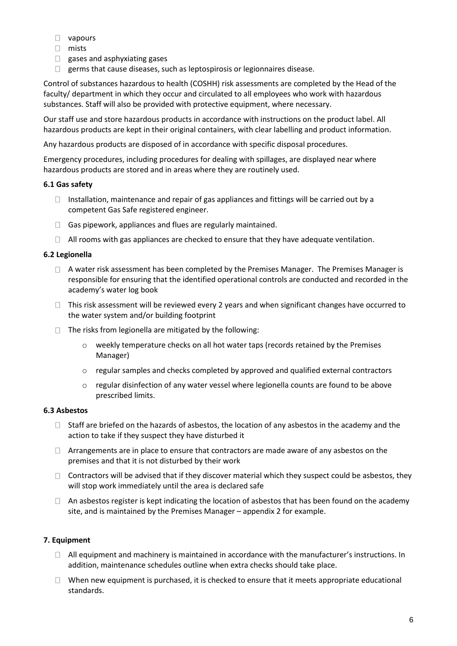- vapours
- mists
- **gases and asphyxiating gases**
- $\Box$  germs that cause diseases, such as leptospirosis or legionnaires disease.

Control of substances hazardous to health (COSHH) risk assessments are completed by the Head of the faculty/ department in which they occur and circulated to all employees who work with hazardous substances. Staff will also be provided with protective equipment, where necessary.

Our staff use and store hazardous products in accordance with instructions on the product label. All hazardous products are kept in their original containers, with clear labelling and product information.

Any hazardous products are disposed of in accordance with specific disposal procedures.

Emergency procedures, including procedures for dealing with spillages, are displayed near where hazardous products are stored and in areas where they are routinely used.

## **6.1 Gas safety**

- $\Box$  Installation, maintenance and repair of gas appliances and fittings will be carried out by a competent Gas Safe registered engineer.
- $\Box$  Gas pipework, appliances and flues are regularly maintained.
- $\Box$  All rooms with gas appliances are checked to ensure that they have adequate ventilation.

# **6.2 Legionella**

- $\Box$  A water risk assessment has been completed by the Premises Manager. The Premises Manager is responsible for ensuring that the identified operational controls are conducted and recorded in the academy's water log book
- $\Box$  This risk assessment will be reviewed every 2 years and when significant changes have occurred to the water system and/or building footprint
- $\Box$  The risks from legionella are mitigated by the following:
	- $\circ$  weekly temperature checks on all hot water taps (records retained by the Premises Manager)
	- $\circ$  regular samples and checks completed by approved and qualified external contractors
	- $\circ$  regular disinfection of any water vessel where legionella counts are found to be above prescribed limits.

## **6.3 Asbestos**

- $\Box$  Staff are briefed on the hazards of asbestos, the location of any asbestos in the academy and the action to take if they suspect they have disturbed it
- $\Box$  Arrangements are in place to ensure that contractors are made aware of any asbestos on the premises and that it is not disturbed by their work
- $\Box$  Contractors will be advised that if they discover material which they suspect could be asbestos, they will stop work immediately until the area is declared safe
- $\Box$  An asbestos register is kept indicating the location of asbestos that has been found on the academy site, and is maintained by the Premises Manager – appendix 2 for example.

## **7. Equipment**

- $\Box$  All equipment and machinery is maintained in accordance with the manufacturer's instructions. In addition, maintenance schedules outline when extra checks should take place.
- $\Box$  When new equipment is purchased, it is checked to ensure that it meets appropriate educational standards.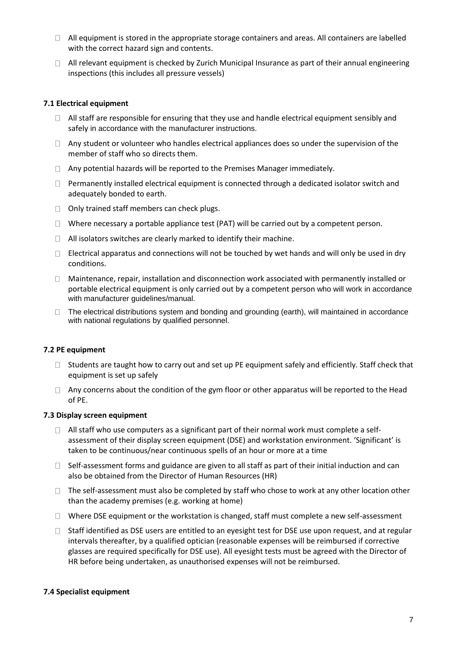- $\Box$  All equipment is stored in the appropriate storage containers and areas. All containers are labelled with the correct hazard sign and contents.
- $\Box$  All relevant equipment is checked by Zurich Municipal Insurance as part of their annual engineering inspections (this includes all pressure vessels)

#### **7.1 Electrical equipment**

- $\Box$  All staff are responsible for ensuring that they use and handle electrical equipment sensibly and safely in accordance with the manufacturer instructions.
- $\Box$  Any student or volunteer who handles electrical appliances does so under the supervision of the member of staff who so directs them.
- $\Box$  Any potential hazards will be reported to the Premises Manager immediately.
- $\Box$  Permanently installed electrical equipment is connected through a dedicated isolator switch and adequately bonded to earth.
- $\Box$  Only trained staff members can check plugs.
- $\Box$  Where necessary a portable appliance test (PAT) will be carried out by a competent person.
- $\Box$  All isolators switches are clearly marked to identify their machine.
- $\Box$  Electrical apparatus and connections will not be touched by wet hands and will only be used in dry conditions.
- $\Box$  Maintenance, repair, installation and disconnection work associated with permanently installed or portable electrical equipment is only carried out by a competent person who will work in accordance with manufacturer guidelines/manual.
- $\Box$  The electrical distributions system and bonding and grounding (earth), will maintained in accordance with national regulations by qualified personnel.

#### **7.2 PE equipment**

- $\Box$  Students are taught how to carry out and set up PE equipment safely and efficiently. Staff check that equipment is set up safely
- $\Box$  Any concerns about the condition of the gym floor or other apparatus will be reported to the Head of PE.

#### **7.3 Display screen equipment**

- $\Box$  All staff who use computers as a significant part of their normal work must complete a selfassessment of their display screen equipment (DSE) and workstation environment. 'Significant' is taken to be continuous/near continuous spells of an hour or more at a time
- $\Box$  Self-assessment forms and guidance are given to all staff as part of their initial induction and can also be obtained from the Director of Human Resources (HR)
- $\Box$  The self-assessment must also be completed by staff who chose to work at any other location other than the academy premises (e.g. working at home)
- $\Box$  Where DSE equipment or the workstation is changed, staff must complete a new self-assessment
- $\Box$  Staff identified as DSE users are entitled to an eyesight test for DSE use upon request, and at regular intervals thereafter, by a qualified optician (reasonable expenses will be reimbursed if corrective glasses are required specifically for DSE use). All eyesight tests must be agreed with the Director of HR before being undertaken, as unauthorised expenses will not be reimbursed.

## **7.4 Specialist equipment**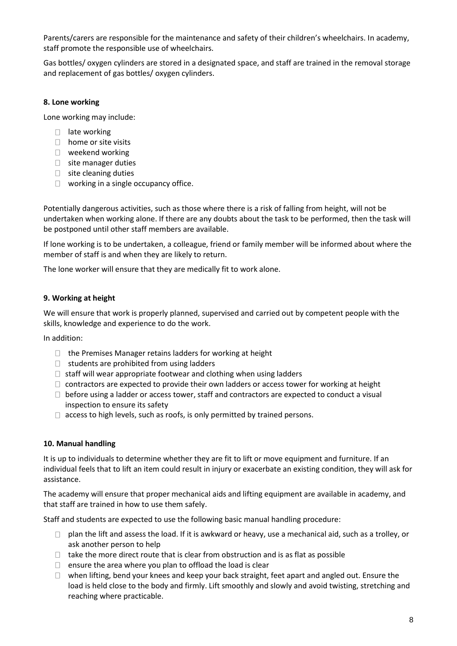Parents/carers are responsible for the maintenance and safety of their children's wheelchairs. In academy, staff promote the responsible use of wheelchairs.

Gas bottles/ oxygen cylinders are stored in a designated space, and staff are trained in the removal storage and replacement of gas bottles/ oxygen cylinders.

# **8. Lone working**

Lone working may include:

- $\Box$  late working
- $\Box$  home or site visits
- $\Box$  weekend working
- $\Box$  site manager duties
- $\Box$  site cleaning duties
- $\Box$  working in a single occupancy office.

Potentially dangerous activities, such as those where there is a risk of falling from height, will not be undertaken when working alone. If there are any doubts about the task to be performed, then the task will be postponed until other staff members are available.

If lone working is to be undertaken, a colleague, friend or family member will be informed about where the member of staff is and when they are likely to return.

The lone worker will ensure that they are medically fit to work alone.

# **9. Working at height**

We will ensure that work is properly planned, supervised and carried out by competent people with the skills, knowledge and experience to do the work.

In addition:

- $\Box$  the Premises Manager retains ladders for working at height
- $\Box$  students are prohibited from using ladders
- $\Box$  staff will wear appropriate footwear and clothing when using ladders
- $\Box$  contractors are expected to provide their own ladders or access tower for working at height
- $\Box$  before using a ladder or access tower, staff and contractors are expected to conduct a visual inspection to ensure its safety
- $\Box$  access to high levels, such as roofs, is only permitted by trained persons.

## **10. Manual handling**

It is up to individuals to determine whether they are fit to lift or move equipment and furniture. If an individual feels that to lift an item could result in injury or exacerbate an existing condition, they will ask for assistance.

The academy will ensure that proper mechanical aids and lifting equipment are available in academy, and that staff are trained in how to use them safely.

Staff and students are expected to use the following basic manual handling procedure:

- $\Box$  plan the lift and assess the load. If it is awkward or heavy, use a mechanical aid, such as a trolley, or ask another person to help
- $\Box$  take the more direct route that is clear from obstruction and is as flat as possible
- $\Box$  ensure the area where you plan to offload the load is clear
- $\Box$  when lifting, bend your knees and keep your back straight, feet apart and angled out. Ensure the load is held close to the body and firmly. Lift smoothly and slowly and avoid twisting, stretching and reaching where practicable.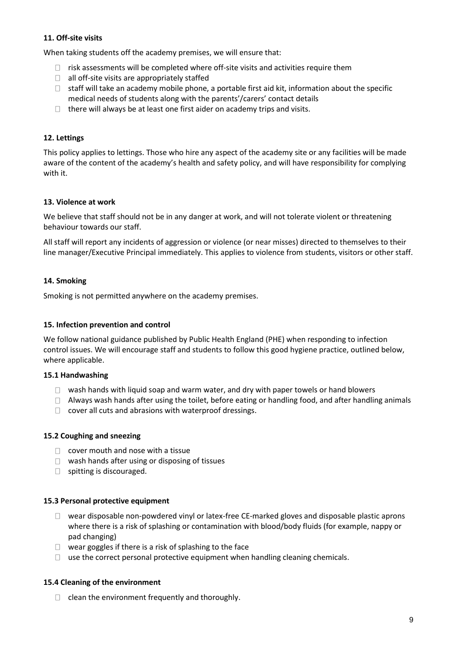## **11. Off-site visits**

When taking students off the academy premises, we will ensure that:

- $\Box$  risk assessments will be completed where off-site visits and activities require them
- $\Box$  all off-site visits are appropriately staffed
- $\Box$  staff will take an academy mobile phone, a portable first aid kit, information about the specific medical needs of students along with the parents'/carers' contact details
- $\Box$  there will always be at least one first aider on academy trips and visits.

## **12. Lettings**

This policy applies to lettings. Those who hire any aspect of the academy site or any facilities will be made aware of the content of the academy's health and safety policy, and will have responsibility for complying with it.

#### **13. Violence at work**

We believe that staff should not be in any danger at work, and will not tolerate violent or threatening behaviour towards our staff.

All staff will report any incidents of aggression or violence (or near misses) directed to themselves to their line manager/Executive Principal immediately. This applies to violence from students, visitors or other staff.

#### **14. Smoking**

Smoking is not permitted anywhere on the academy premises.

#### **15. Infection prevention and control**

We follow national guidance published by Public Health England (PHE) when responding to infection control issues. We will encourage staff and students to follow this good hygiene practice, outlined below, where applicable.

#### **15.1 Handwashing**

- $\Box$  wash hands with liquid soap and warm water, and dry with paper towels or hand blowers
- $\Box$  Always wash hands after using the toilet, before eating or handling food, and after handling animals
- $\Box$  cover all cuts and abrasions with waterproof dressings.

#### **15.2 Coughing and sneezing**

- $\Box$  cover mouth and nose with a tissue
- $\Box$  wash hands after using or disposing of tissues
- $\Box$  spitting is discouraged.

#### **15.3 Personal protective equipment**

- $\Box$  wear disposable non-powdered vinyl or latex-free CE-marked gloves and disposable plastic aprons where there is a risk of splashing or contamination with blood/body fluids (for example, nappy or pad changing)
- $\Box$  wear goggles if there is a risk of splashing to the face
- $\Box$  use the correct personal protective equipment when handling cleaning chemicals.

#### **15.4 Cleaning of the environment**

 $\Box$  clean the environment frequently and thoroughly.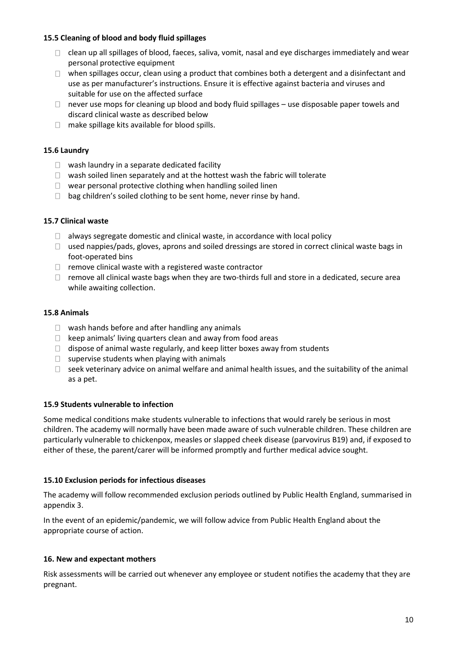## **15.5 Cleaning of blood and body fluid spillages**

- $\Box$  clean up all spillages of blood, faeces, saliva, vomit, nasal and eye discharges immediately and wear personal protective equipment
- $\Box$  when spillages occur, clean using a product that combines both a detergent and a disinfectant and use as per manufacturer's instructions. Ensure it is effective against bacteria and viruses and suitable for use on the affected surface
- $\Box$  never use mops for cleaning up blood and body fluid spillages use disposable paper towels and discard clinical waste as described below
- $\Box$  make spillage kits available for blood spills.

## **15.6 Laundry**

- $\Box$  wash laundry in a separate dedicated facility
- $\Box$  wash soiled linen separately and at the hottest wash the fabric will tolerate
- $\Box$  wear personal protective clothing when handling soiled linen
- $\Box$  bag children's soiled clothing to be sent home, never rinse by hand.

#### **15.7 Clinical waste**

- $\Box$  always segregate domestic and clinical waste, in accordance with local policy
- $\Box$  used nappies/pads, gloves, aprons and soiled dressings are stored in correct clinical waste bags in foot-operated bins
- $\Box$  remove clinical waste with a registered waste contractor
- $\Box$  remove all clinical waste bags when they are two-thirds full and store in a dedicated, secure area while awaiting collection.

#### **15.8 Animals**

- $\Box$  wash hands before and after handling any animals
- $\Box$  keep animals' living quarters clean and away from food areas
- $\Box$  dispose of animal waste regularly, and keep litter boxes away from students
- $\Box$  supervise students when playing with animals
- $\Box$  seek veterinary advice on animal welfare and animal health issues, and the suitability of the animal as a pet.

#### **15.9 Students vulnerable to infection**

Some medical conditions make students vulnerable to infections that would rarely be serious in most children. The academy will normally have been made aware of such vulnerable children. These children are particularly vulnerable to chickenpox, measles or slapped cheek disease (parvovirus B19) and, if exposed to either of these, the parent/carer will be informed promptly and further medical advice sought.

#### **15.10 Exclusion periods for infectious diseases**

The academy will follow recommended exclusion periods outlined by Public Health England, summarised in appendix 3.

In the event of an epidemic/pandemic, we will follow advice from Public Health England about the appropriate course of action.

#### **16. New and expectant mothers**

Risk assessments will be carried out whenever any employee or student notifies the academy that they are pregnant.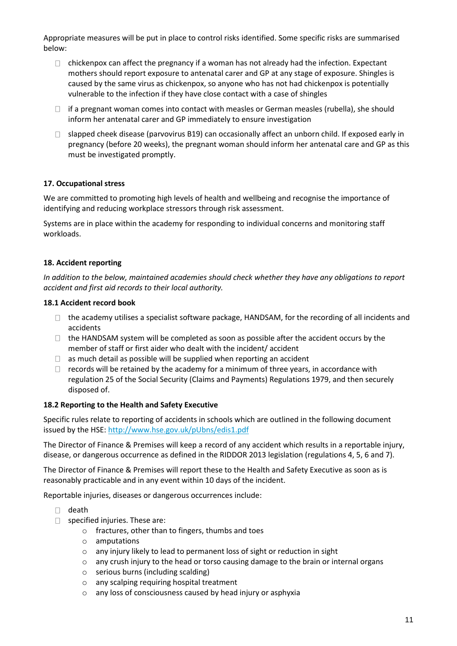Appropriate measures will be put in place to control risks identified. Some specific risks are summarised below:

- $\Box$  chickenpox can affect the pregnancy if a woman has not already had the infection. Expectant mothers should report exposure to antenatal carer and GP at any stage of exposure. Shingles is caused by the same virus as chickenpox, so anyone who has not had chickenpox is potentially vulnerable to the infection if they have close contact with a case of shingles
- $\Box$  if a pregnant woman comes into contact with measles or German measles (rubella), she should inform her antenatal carer and GP immediately to ensure investigation
- $\Box$  slapped cheek disease (parvovirus B19) can occasionally affect an unborn child. If exposed early in pregnancy (before 20 weeks), the pregnant woman should inform her antenatal care and GP as this must be investigated promptly.

# **17. Occupational stress**

We are committed to promoting high levels of health and wellbeing and recognise the importance of identifying and reducing workplace stressors through risk assessment.

Systems are in place within the academy for responding to individual concerns and monitoring staff workloads.

## **18. Accident reporting**

*In addition to the below, maintained academies should check whether they have any obligations to report accident and first aid records to their local authority.*

#### **18.1 Accident record book**

- $\Box$  the academy utilises a specialist software package, HANDSAM, for the recording of all incidents and accidents
- $\Box$  the HANDSAM system will be completed as soon as possible after the accident occurs by the member of staff or first aider who dealt with the incident/ accident
- $\Box$  as much detail as possible will be supplied when reporting an accident
- $\Box$  records will be retained by the academy for a minimum of three years, in accordance with regulation 25 of the Social Security (Claims and Payments) Regulations 1979, and then securely disposed of.

#### **18.2 Reporting to the Health and Safety Executive**

Specific rules relate to reporting of accidents in schools which are outlined in the following document issued by the HSE[: http://www.hse.gov.uk/pUbns/edis1.pdf](http://www.hse.gov.uk/pUbns/edis1.pdf)

The Director of Finance & Premises will keep a record of any accident which results in a reportable injury, disease, or dangerous occurrence as defined in the RIDDOR 2013 legislation (regulations 4, 5, 6 and 7).

The Director of Finance & Premises will report these to the Health and Safety Executive as soon as is reasonably practicable and in any event within 10 days of the incident.

Reportable injuries, diseases or dangerous occurrences include:

- $\Box$  death
- $\Box$  specified injuries. These are:
	- o fractures, other than to fingers, thumbs and toes
	- o amputations
	- o any injury likely to lead to permanent loss of sight or reduction in sight
	- $\circ$  any crush injury to the head or torso causing damage to the brain or internal organs
	- o serious burns (including scalding)
	- o any scalping requiring hospital treatment
	- o any loss of consciousness caused by head injury or asphyxia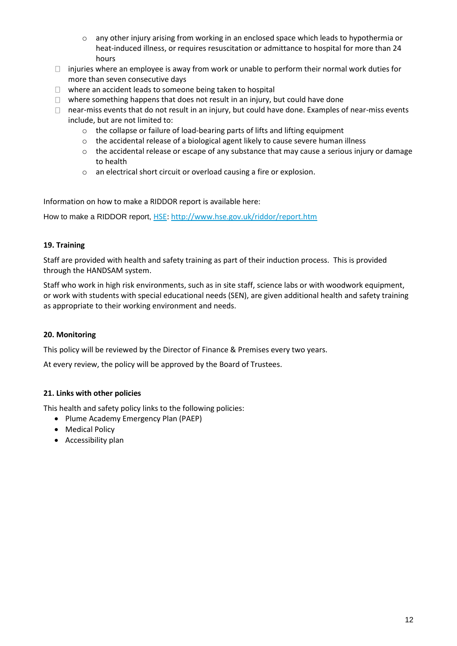- o any other injury arising from working in an enclosed space which leads to hypothermia or heat-induced illness, or requires resuscitation or admittance to hospital for more than 24 hours
- $\Box$  injuries where an employee is away from work or unable to perform their normal work duties for more than seven consecutive days
- $\Box$  where an accident leads to someone being taken to hospital
- $\Box$  where something happens that does not result in an injury, but could have done
- $\Box$  near-miss events that do not result in an injury, but could have done. Examples of near-miss events include, but are not limited to:
	- o the collapse or failure of load-bearing parts of lifts and lifting equipment
	- o the accidental release of a biological agent likely to cause severe human illness
	- $\circ$  the accidental release or escape of any substance that may cause a serious injury or damage to health
	- o an electrical short circuit or overload causing a fire or explosion.

Information on how to make a RIDDOR report is available here:

[How to make a RIDDOR report,](http://www.hse.gov.uk/riddor/report.htm) HSE:<http://www.hse.gov.uk/riddor/report.htm>

## **19. Training**

Staff are provided with health and safety training as part of their induction process. This is provided through the HANDSAM system.

Staff who work in high risk environments, such as in site staff, science labs or with woodwork equipment, or work with students with special educational needs (SEN), are given additional health and safety training as appropriate to their working environment and needs.

## **20. Monitoring**

This policy will be reviewed by the Director of Finance & Premises every two years.

At every review, the policy will be approved by the Board of Trustees.

## **21. Links with other policies**

This health and safety policy links to the following policies:

- Plume Academy Emergency Plan (PAEP)
- Medical Policy
- Accessibility plan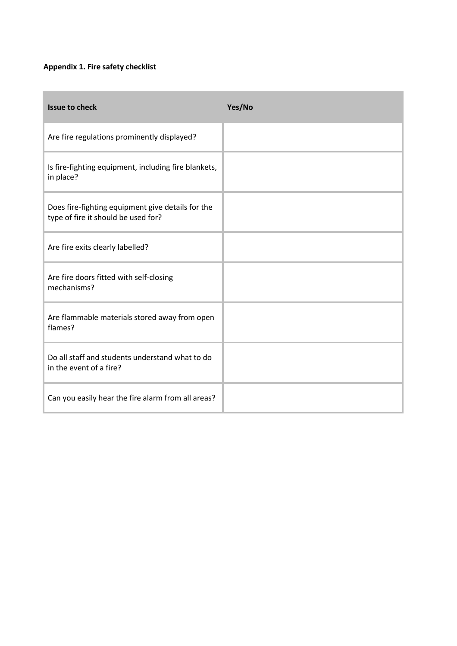# **Appendix 1. Fire safety checklist**

| <b>Issue to check</b>                                                                    | Yes/No |
|------------------------------------------------------------------------------------------|--------|
| Are fire regulations prominently displayed?                                              |        |
| Is fire-fighting equipment, including fire blankets,<br>in place?                        |        |
| Does fire-fighting equipment give details for the<br>type of fire it should be used for? |        |
| Are fire exits clearly labelled?                                                         |        |
| Are fire doors fitted with self-closing<br>mechanisms?                                   |        |
| Are flammable materials stored away from open<br>flames?                                 |        |
| Do all staff and students understand what to do<br>in the event of a fire?               |        |
| Can you easily hear the fire alarm from all areas?                                       |        |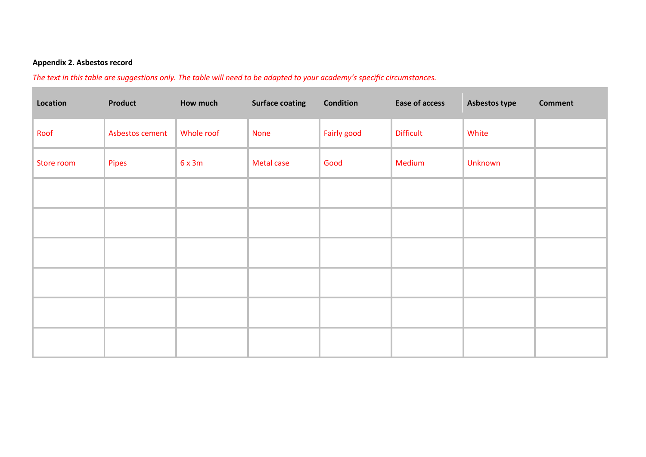# **Appendix 2. Asbestos record**

*The text in this table are suggestions only. The table will need to be adapted to your academy's specific circumstances.* 

| Location   | Product         | How much   | <b>Surface coating</b> | <b>Condition</b> | Ease of access   | Asbestos type | <b>Comment</b> |
|------------|-----------------|------------|------------------------|------------------|------------------|---------------|----------------|
| Roof       | Asbestos cement | Whole roof | <b>None</b>            | Fairly good      | <b>Difficult</b> | White         |                |
| Store room | Pipes           | 6x3m       | Metal case             | Good             | Medium           | Unknown       |                |
|            |                 |            |                        |                  |                  |               |                |
|            |                 |            |                        |                  |                  |               |                |
|            |                 |            |                        |                  |                  |               |                |
|            |                 |            |                        |                  |                  |               |                |
|            |                 |            |                        |                  |                  |               |                |
|            |                 |            |                        |                  |                  |               |                |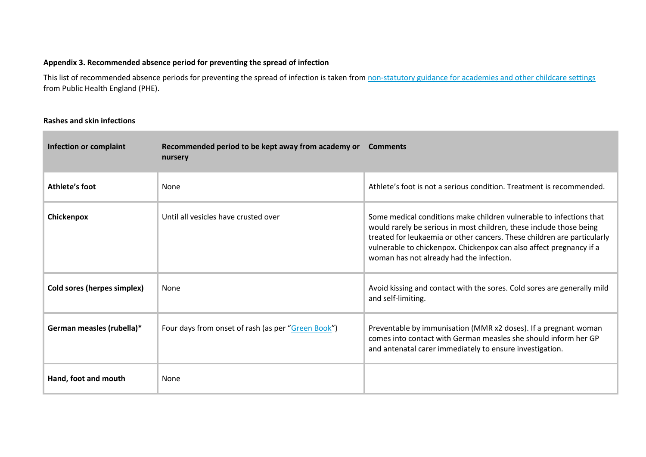## **Appendix 3. Recommended absence period for preventing the spread of infection**

This list of recommended absence periods for preventing the spread of infection is taken from [non-statutory guidance for academies and other childcare settings](https://www.gov.uk/government/uploads/system/uploads/attachment_data/file/522337/Guidance_on_infection_control_in_schools.pdf) from Public Health England (PHE).

#### **Rashes and skin infections**

**Tara** 

| <b>Infection or complaint</b> | Recommended period to be kept away from academy or<br>nursery | <b>Comments</b>                                                                                                                                                                                                                                                                                                                          |
|-------------------------------|---------------------------------------------------------------|------------------------------------------------------------------------------------------------------------------------------------------------------------------------------------------------------------------------------------------------------------------------------------------------------------------------------------------|
| Athlete's foot                | None                                                          | Athlete's foot is not a serious condition. Treatment is recommended.                                                                                                                                                                                                                                                                     |
| Chickenpox                    | Until all vesicles have crusted over                          | Some medical conditions make children vulnerable to infections that<br>would rarely be serious in most children, these include those being<br>treated for leukaemia or other cancers. These children are particularly<br>vulnerable to chickenpox. Chickenpox can also affect pregnancy if a<br>woman has not already had the infection. |
| Cold sores (herpes simplex)   | None                                                          | Avoid kissing and contact with the sores. Cold sores are generally mild<br>and self-limiting.                                                                                                                                                                                                                                            |
| German measles (rubella)*     | Four days from onset of rash (as per "Green Book")            | Preventable by immunisation (MMR x2 doses). If a pregnant woman<br>comes into contact with German measles she should inform her GP<br>and antenatal carer immediately to ensure investigation.                                                                                                                                           |
| Hand, foot and mouth          | None                                                          |                                                                                                                                                                                                                                                                                                                                          |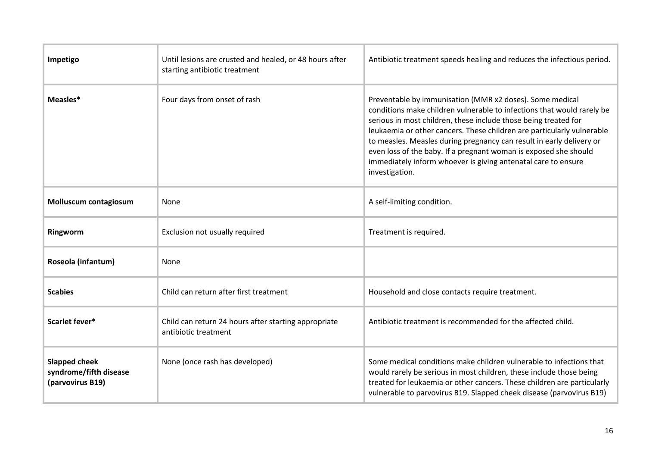| Impetigo                                                           | Until lesions are crusted and healed, or 48 hours after<br>starting antibiotic treatment | Antibiotic treatment speeds healing and reduces the infectious period.                                                                                                                                                                                                                                                                                                                                                                                                                                         |
|--------------------------------------------------------------------|------------------------------------------------------------------------------------------|----------------------------------------------------------------------------------------------------------------------------------------------------------------------------------------------------------------------------------------------------------------------------------------------------------------------------------------------------------------------------------------------------------------------------------------------------------------------------------------------------------------|
| Measles*                                                           | Four days from onset of rash                                                             | Preventable by immunisation (MMR x2 doses). Some medical<br>conditions make children vulnerable to infections that would rarely be<br>serious in most children, these include those being treated for<br>leukaemia or other cancers. These children are particularly vulnerable<br>to measles. Measles during pregnancy can result in early delivery or<br>even loss of the baby. If a pregnant woman is exposed she should<br>immediately inform whoever is giving antenatal care to ensure<br>investigation. |
| Molluscum contagiosum                                              | None                                                                                     | A self-limiting condition.                                                                                                                                                                                                                                                                                                                                                                                                                                                                                     |
| Ringworm                                                           | Exclusion not usually required                                                           | Treatment is required.                                                                                                                                                                                                                                                                                                                                                                                                                                                                                         |
| Roseola (infantum)                                                 | None                                                                                     |                                                                                                                                                                                                                                                                                                                                                                                                                                                                                                                |
| <b>Scabies</b>                                                     | Child can return after first treatment                                                   | Household and close contacts require treatment.                                                                                                                                                                                                                                                                                                                                                                                                                                                                |
| Scarlet fever*                                                     | Child can return 24 hours after starting appropriate<br>antibiotic treatment             | Antibiotic treatment is recommended for the affected child.                                                                                                                                                                                                                                                                                                                                                                                                                                                    |
| <b>Slapped cheek</b><br>syndrome/fifth disease<br>(parvovirus B19) | None (once rash has developed)                                                           | Some medical conditions make children vulnerable to infections that<br>would rarely be serious in most children, these include those being<br>treated for leukaemia or other cancers. These children are particularly<br>vulnerable to parvovirus B19. Slapped cheek disease (parvovirus B19)                                                                                                                                                                                                                  |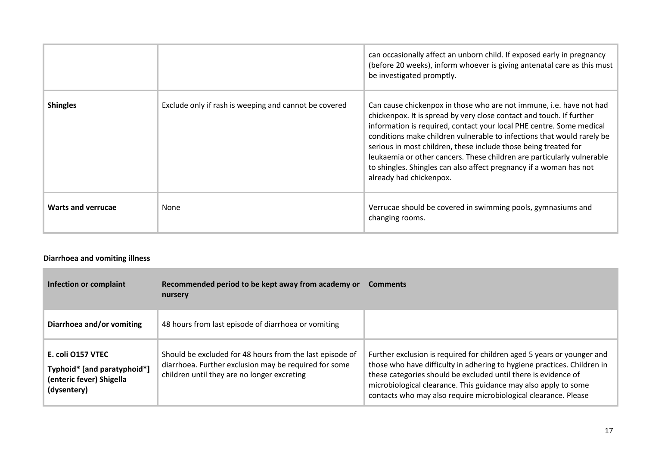|                           |                                                       | can occasionally affect an unborn child. If exposed early in pregnancy<br>(before 20 weeks), inform whoever is giving antenatal care as this must<br>be investigated promptly.                                                                                                                                                                                                                                                                                                                                                              |
|---------------------------|-------------------------------------------------------|---------------------------------------------------------------------------------------------------------------------------------------------------------------------------------------------------------------------------------------------------------------------------------------------------------------------------------------------------------------------------------------------------------------------------------------------------------------------------------------------------------------------------------------------|
| <b>Shingles</b>           | Exclude only if rash is weeping and cannot be covered | Can cause chickenpox in those who are not immune, i.e. have not had<br>chickenpox. It is spread by very close contact and touch. If further<br>information is required, contact your local PHE centre. Some medical<br>conditions make children vulnerable to infections that would rarely be<br>serious in most children, these include those being treated for<br>leukaemia or other cancers. These children are particularly vulnerable<br>to shingles. Shingles can also affect pregnancy if a woman has not<br>already had chickenpox. |
| <b>Warts and verrucae</b> | None                                                  | Verrucae should be covered in swimming pools, gymnasiums and<br>changing rooms.                                                                                                                                                                                                                                                                                                                                                                                                                                                             |

# **Diarrhoea and vomiting illness**

| Infection or complaint                                                                      | Recommended period to be kept away from academy or<br>nursery                                                                                                    | <b>Comments</b>                                                                                                                                                                                                                                                                                                                                           |
|---------------------------------------------------------------------------------------------|------------------------------------------------------------------------------------------------------------------------------------------------------------------|-----------------------------------------------------------------------------------------------------------------------------------------------------------------------------------------------------------------------------------------------------------------------------------------------------------------------------------------------------------|
| Diarrhoea and/or vomiting                                                                   | 48 hours from last episode of diarrhoea or vomiting                                                                                                              |                                                                                                                                                                                                                                                                                                                                                           |
| E. coli 0157 VTEC<br>Typhoid* [and paratyphoid*]<br>(enteric fever) Shigella<br>(dysentery) | Should be excluded for 48 hours from the last episode of<br>diarrhoea. Further exclusion may be required for some<br>children until they are no longer excreting | Further exclusion is required for children aged 5 years or younger and<br>those who have difficulty in adhering to hygiene practices. Children in<br>these categories should be excluded until there is evidence of<br>microbiological clearance. This guidance may also apply to some<br>contacts who may also require microbiological clearance. Please |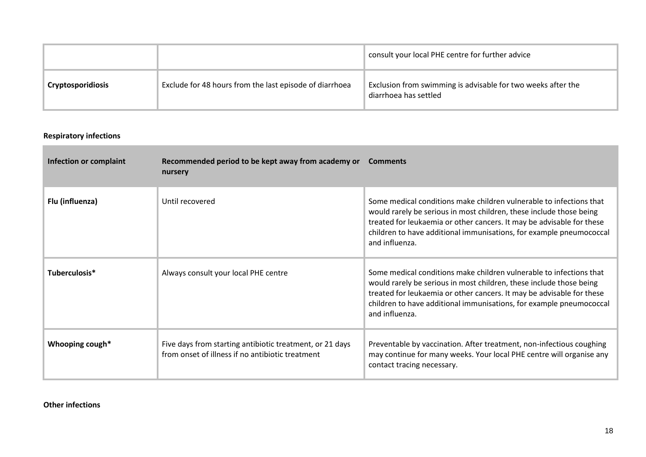|                   |                                                         | consult your local PHE centre for further advice                                      |
|-------------------|---------------------------------------------------------|---------------------------------------------------------------------------------------|
| Cryptosporidiosis | Exclude for 48 hours from the last episode of diarrhoea | Exclusion from swimming is advisable for two weeks after the<br>diarrhoea has settled |

#### **Respiratory infections**

**College** 

| Infection or complaint | Recommended period to be kept away from academy or<br>nursery                                                | <b>Comments</b>                                                                                                                                                                                                                                                                                              |
|------------------------|--------------------------------------------------------------------------------------------------------------|--------------------------------------------------------------------------------------------------------------------------------------------------------------------------------------------------------------------------------------------------------------------------------------------------------------|
| Flu (influenza)        | Until recovered                                                                                              | Some medical conditions make children vulnerable to infections that<br>would rarely be serious in most children, these include those being<br>treated for leukaemia or other cancers. It may be advisable for these<br>children to have additional immunisations, for example pneumococcal<br>and influenza. |
| Tuberculosis*          | Always consult your local PHE centre                                                                         | Some medical conditions make children vulnerable to infections that<br>would rarely be serious in most children, these include those being<br>treated for leukaemia or other cancers. It may be advisable for these<br>children to have additional immunisations, for example pneumococcal<br>and influenza. |
| Whooping cough*        | Five days from starting antibiotic treatment, or 21 days<br>from onset of illness if no antibiotic treatment | Preventable by vaccination. After treatment, non-infectious coughing<br>may continue for many weeks. Your local PHE centre will organise any<br>contact tracing necessary.                                                                                                                                   |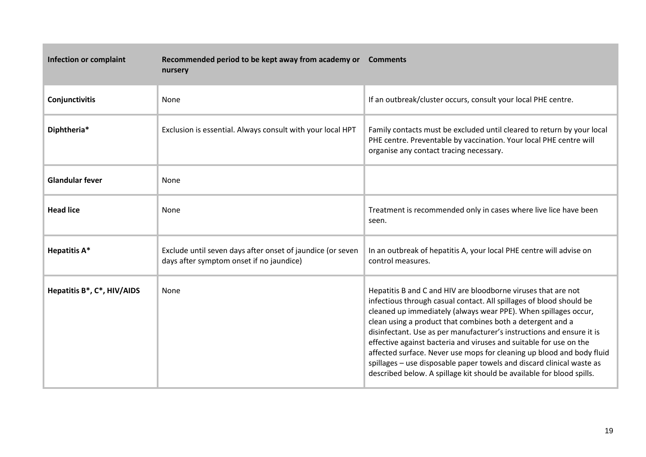| <b>Infection or complaint</b> | Recommended period to be kept away from academy or<br>nursery                                          | <b>Comments</b>                                                                                                                                                                                                                                                                                                                                                                                                                                                                                                                                                                                                                                 |
|-------------------------------|--------------------------------------------------------------------------------------------------------|-------------------------------------------------------------------------------------------------------------------------------------------------------------------------------------------------------------------------------------------------------------------------------------------------------------------------------------------------------------------------------------------------------------------------------------------------------------------------------------------------------------------------------------------------------------------------------------------------------------------------------------------------|
| Conjunctivitis                | None                                                                                                   | If an outbreak/cluster occurs, consult your local PHE centre.                                                                                                                                                                                                                                                                                                                                                                                                                                                                                                                                                                                   |
| Diphtheria*                   | Exclusion is essential. Always consult with your local HPT                                             | Family contacts must be excluded until cleared to return by your local<br>PHE centre. Preventable by vaccination. Your local PHE centre will<br>organise any contact tracing necessary.                                                                                                                                                                                                                                                                                                                                                                                                                                                         |
| <b>Glandular fever</b>        | None                                                                                                   |                                                                                                                                                                                                                                                                                                                                                                                                                                                                                                                                                                                                                                                 |
| <b>Head lice</b>              | None                                                                                                   | Treatment is recommended only in cases where live lice have been<br>seen.                                                                                                                                                                                                                                                                                                                                                                                                                                                                                                                                                                       |
| <b>Hepatitis A*</b>           | Exclude until seven days after onset of jaundice (or seven<br>days after symptom onset if no jaundice) | In an outbreak of hepatitis A, your local PHE centre will advise on<br>control measures.                                                                                                                                                                                                                                                                                                                                                                                                                                                                                                                                                        |
| Hepatitis B*, C*, HIV/AIDS    | None                                                                                                   | Hepatitis B and C and HIV are bloodborne viruses that are not<br>infectious through casual contact. All spillages of blood should be<br>cleaned up immediately (always wear PPE). When spillages occur,<br>clean using a product that combines both a detergent and a<br>disinfectant. Use as per manufacturer's instructions and ensure it is<br>effective against bacteria and viruses and suitable for use on the<br>affected surface. Never use mops for cleaning up blood and body fluid<br>spillages - use disposable paper towels and discard clinical waste as<br>described below. A spillage kit should be available for blood spills. |